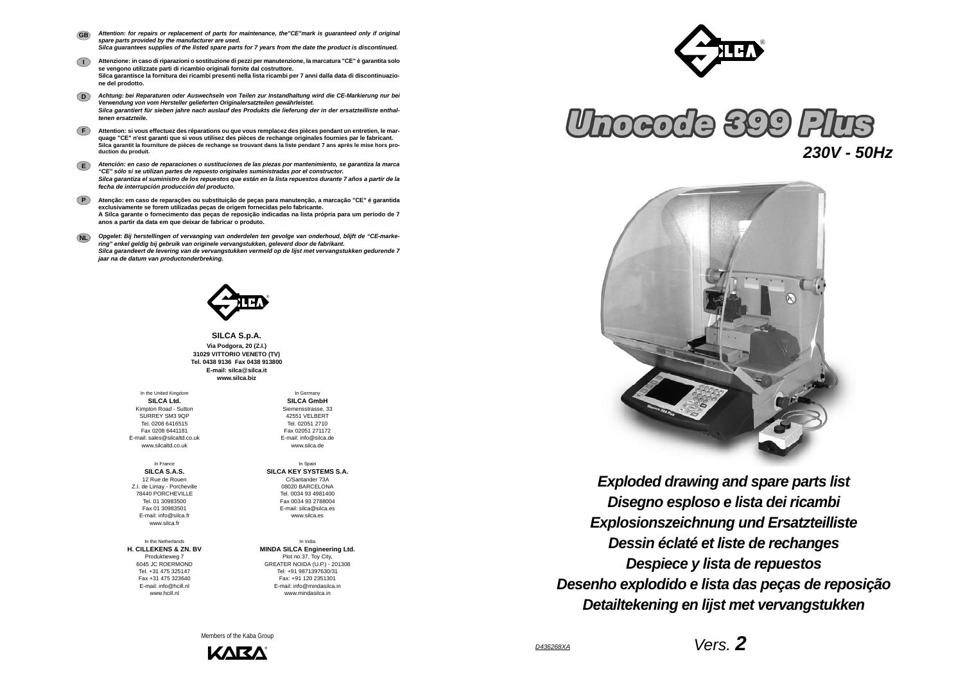*Vers. 2*





*Disegno esploso e lista dei ricambi Exploded drawing and spare parts list Explosionszeichnung und Ersatzteilliste Dessin éclaté et liste de rechanges Despiece y lista de repuestos Desenho explodido e lista das peças de reposição Detailtekening en lijst met vervangstukken*

**SILCA S.p.A. Via Podgora, 20 (Z.I.) 31029 VITTORIO VENETO (TV) Tel. 0438 9136 Fax 0438 913800E-mail: silca**@**silca.it www.silca.biz**

- *Attention: for repairs or replacement of parts for maintenance, the"CE"mark is guaranteed only if original spare parts provided by the manufacturer are used. Silca guarantees supplies of the listed spare parts for 7 years from the date the product is discontinued.* **GB**
- **I Attenzione: in caso di riparazioni o sostituzione di pezzi per manutenzione, la marcatura "CE" è garantita solo se vengono utilizzate parti di ricambio originali fornite dal costruttore. Silca garantisce la fornitura dei ricambi presenti nella lista ricambi per 7 anni dalla data di discontinuazione del prodotto.**
- **D***Achtung: bei Reparaturen oder Auswechseln von Teilen zur Instandhaltung wird die CE-Markierung nur bei Verwendung von vom Hersteller gelieferten Originalersatzteilen gewährleistet. Silca garantiert für sieben jahre nach auslauf des Produkts die lieferung der in der ersatzteilliste enthaltenen ersatzteile.*
- **F Attention: si vous effectuez des réparations ou que vous remplacez des pièces pendant un entretien, le marquage "CE" n'est garanti que si vous utilisez des pièces de rechange originales fournies par le fabricant. Silca garantit la fourniture de pièces de rechange se trouvant dans la liste pendant 7 ans après le mise hors production du produit.**
- **E***Atención: en caso de reparaciones o sustituciones de las piezas por mantenimiento, se garantiza la marca "CE" sólo si se utilizan partes de repuesto originales suministradas por el constructor. Silca garantiza el suministro de los repuestos que están en la lista repuestos durante 7 años a partir de la fecha de interrupción producción del producto.*
- **PAtenção: em caso de reparações ou substituição de peças para manutenção, a marcação "CE" é garantida exclusivamente se forem utilizadas peças de origem fornecidas pelo fabricante. A Silca garante o fornecimento das peças de reposição indicadas na lista própria para um período de 7 anos a partir da data em que deixar de fabricar o produto.**
- **NL** *Opgelet: Bij herstellingen of vervanging van onderdelen ten gevolge van onderhoud, blijft de "CE-markering" enkel geldig bij gebruik van originele vervangstukken, geleverd door de fabrikant. Silca garandeert de levering van de vervangstukken vermeld op de lijst met vervangstukken gedurende 7 jaar na de datum van productonderbreking.*



In the Netherlands**H. CILLEKENS & ZN. BV** Produktieweg 7 6045 JC ROERMOND Tel. +31 475 325147 Fax +31 475 323640 E-mail: info@hcill.nl www.hcill.nl

In the United Kingdom **SILCA Ltd.** Kimpton Road - Sutton SURREY SM3 9QP Tel. 0208 6416515 Fax 0208 6441181 E-mail: sales@silcaltd.co.uk www.silcaltd.co.uk

In France**SILCA S.A.S.** 12 Rue de Rouen Z.I. de Limay - Porcheville 78440 PORCHEVILLETel. 01 30983500 Fax 01 30983501 E-mail: info@silca.fr www.silca.fr

In Germany

**SILCA GmbH** Siemensstrasse, 33 42551 VELBERTTel. 02051 2710 Fax 02051 271172 E-mail: info@silca.de www.silca.de

In Spain **SILCA KEY SYSTEMS S.A.** C/Santander 73A 08020 BARCELONA Tel. 0034 93 4981400 Fax 0034 93 2788004 E-mail: silca@silca.es www.silca.es

In India**MINDA SILCA Engineering Ltd.** Plot no.37, Toy City, GREATER NOIDA (U.P.) - 201308 Tel: +91 9871397630/31 Fax: +91 120 2351301 E-mail: info@mindasilca.inwww.mindasilca.in

Members of the Kaba Group



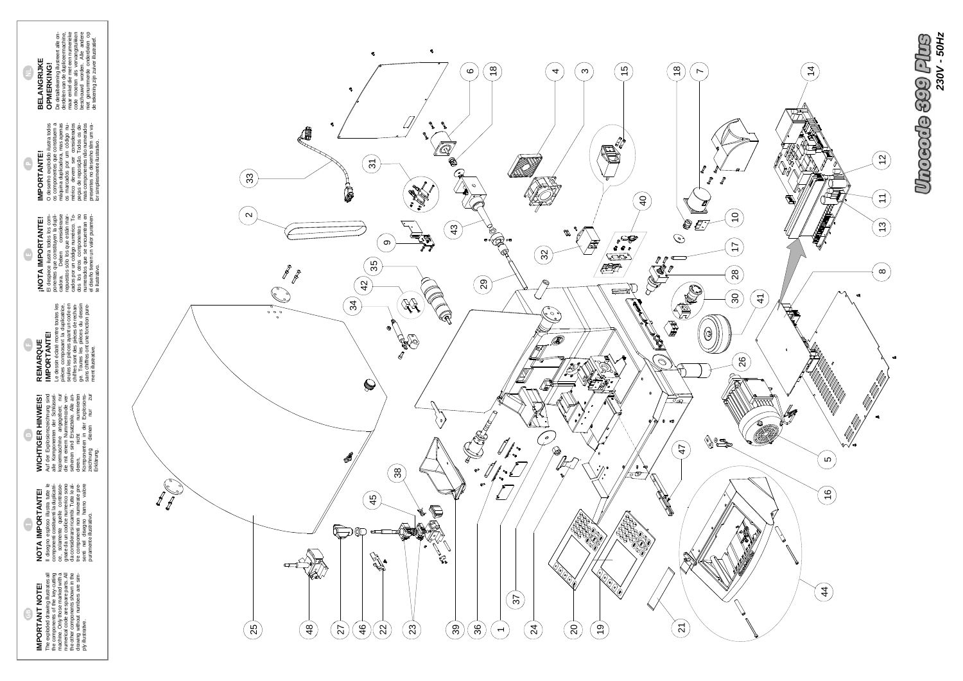